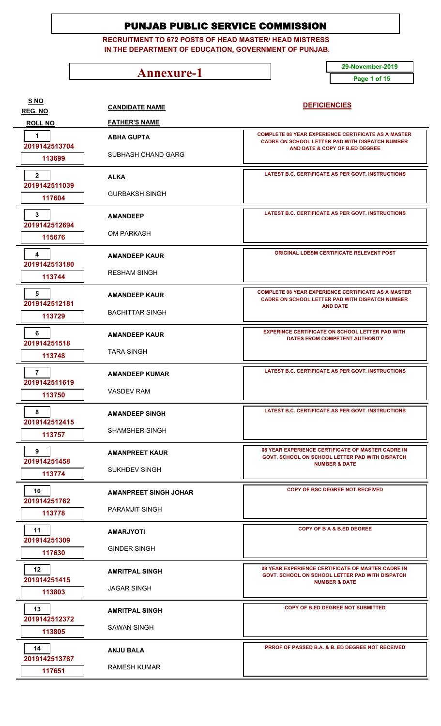**RECRUITMENT TO 672 POSTS OF HEAD MASTER/ HEAD MISTRESS IN THE DEPARTMENT OF EDUCATION, GOVERNMENT OF PUNJAB.**

**Annexure-1** 29-November-2019

**Page 1 of 15**

| <u>S NO</u><br><b>REG. NO</b>   | <b>CANDIDATE NAME</b>        | <b>DEFICIENCIES</b>                                                                                                                     |
|---------------------------------|------------------------------|-----------------------------------------------------------------------------------------------------------------------------------------|
| <b>ROLL NO</b>                  | <b>FATHER'S NAME</b>         |                                                                                                                                         |
| 1<br>2019142513704              | <b>ABHA GUPTA</b>            | <b>COMPLETE 08 YEAR EXPERIENCE CERTIFICATE AS A MASTER</b><br><b>CADRE ON SCHOOL LETTER PAD WITH DISPATCH NUMBER</b>                    |
| 113699                          | <b>SUBHASH CHAND GARG</b>    | AND DATE & COPY OF B.ED DEGREE                                                                                                          |
| $\overline{2}$<br>2019142511039 | <b>ALKA</b>                  | LATEST B.C. CERTIFICATE AS PER GOVT. INSTRUCTIONS                                                                                       |
| 117604                          | <b>GURBAKSH SINGH</b>        |                                                                                                                                         |
| 3<br>2019142512694              | <b>AMANDEEP</b>              | LATEST B.C. CERTIFICATE AS PER GOVT. INSTRUCTIONS                                                                                       |
| 115676                          | OM PARKASH                   |                                                                                                                                         |
| 4<br>2019142513180              | <b>AMANDEEP KAUR</b>         | <b>ORIGINAL LDESM CERTIFICATE RELEVENT POST</b>                                                                                         |
| 113744                          | <b>RESHAM SINGH</b>          |                                                                                                                                         |
| 5<br>2019142512181              | <b>AMANDEEP KAUR</b>         | <b>COMPLETE 08 YEAR EXPERIENCE CERTIFICATE AS A MASTER</b><br><b>CADRE ON SCHOOL LETTER PAD WITH DISPATCH NUMBER</b><br><b>AND DATE</b> |
| 113729                          | <b>BACHITTAR SINGH</b>       |                                                                                                                                         |
| 6<br>201914251518               | <b>AMANDEEP KAUR</b>         | <b>EXPERINCE CERTIFICATE ON SCHOOL LETTER PAD WITH</b><br>DATES FROM COMPETENT AUTHORITY                                                |
| 113748                          | <b>TARA SINGH</b>            |                                                                                                                                         |
| $\overline{7}$<br>2019142511619 | <b>AMANDEEP KUMAR</b>        | LATEST B.C. CERTIFICATE AS PER GOVT. INSTRUCTIONS                                                                                       |
| 113750                          | <b>VASDEV RAM</b>            |                                                                                                                                         |
| 8<br>2019142512415              | <b>AMANDEEP SINGH</b>        | LATEST B.C. CERTIFICATE AS PER GOVT. INSTRUCTIONS                                                                                       |
| 113757                          | <b>SHAMSHER SINGH</b>        |                                                                                                                                         |
| 9<br>201914251458               | <b>AMANPREET KAUR</b>        | 08 YEAR EXPERIENCE CERTIFICATE OF MASTER CADRE IN<br>GOVT. SCHOOL ON SCHOOL LETTER PAD WITH DISPATCH                                    |
| 113774                          | <b>SUKHDEV SINGH</b>         | <b>NUMBER &amp; DATE</b>                                                                                                                |
| 10<br>201914251762              | <b>AMANPREET SINGH JOHAR</b> | <b>COPY OF BSC DEGREE NOT RECEIVED</b>                                                                                                  |
| 113778                          | <b>PARAMJIT SINGH</b>        |                                                                                                                                         |
| 11<br>201914251309              | <b>AMARJYOTI</b>             | COPY OF B A & B.ED DEGREE                                                                                                               |
| 117630                          | <b>GINDER SINGH</b>          |                                                                                                                                         |
| 12<br>201914251415              | <b>AMRITPAL SINGH</b>        | 08 YEAR EXPERIENCE CERTIFICATE OF MASTER CADRE IN<br>GOVT. SCHOOL ON SCHOOL LETTER PAD WITH DISPATCH                                    |
| 113803                          | <b>JAGAR SINGH</b>           | <b>NUMBER &amp; DATE</b>                                                                                                                |
| 13<br>2019142512372             | <b>AMRITPAL SINGH</b>        | <b>COPY OF B.ED DEGREE NOT SUBMITTED</b>                                                                                                |
| 113805                          | <b>SAWAN SINGH</b>           |                                                                                                                                         |
| 14<br>2019142513787             | <b>ANJU BALA</b>             | PRROF OF PASSED B.A. & B. ED DEGREE NOT RECEIVED                                                                                        |
| 117651                          | <b>RAMESH KUMAR</b>          |                                                                                                                                         |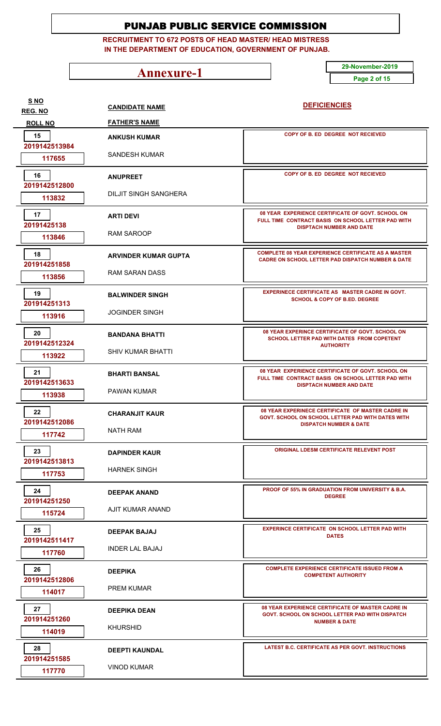**RECRUITMENT TO 672 POSTS OF HEAD MASTER/ HEAD MISTRESS IN THE DEPARTMENT OF EDUCATION, GOVERNMENT OF PUNJAB.**

**Annexure-1** 29-November-2019

**Page 2 of 15**

| S <sub>NO</sub><br><b>REG. NO</b> | <b>CANDIDATE NAME</b>        | <b>DEFICIENCIES</b>                                                                                                        |
|-----------------------------------|------------------------------|----------------------------------------------------------------------------------------------------------------------------|
| <b>ROLL NO</b>                    | <b>FATHER'S NAME</b>         |                                                                                                                            |
| 15<br>2019142513984               | <b>ANKUSH KUMAR</b>          | COPY OF B. ED DEGREE NOT RECIEVED                                                                                          |
| 117655                            | <b>SANDESH KUMAR</b>         |                                                                                                                            |
| 16<br>2019142512800               | <b>ANUPREET</b>              | COPY OF B. ED DEGREE NOT RECIEVED                                                                                          |
| 113832                            | <b>DILJIT SINGH SANGHERA</b> |                                                                                                                            |
| 17<br>20191425138                 | <b>ARTI DEVI</b>             | 08 YEAR EXPERIENCE CERTIFICATE OF GOVT. SCHOOL ON<br>FULL TIME CONTRACT BASIS ON SCHOOL LETTER PAD WITH                    |
| 113846                            | <b>RAM SAROOP</b>            | <b>DISPTACH NUMBER AND DATE</b>                                                                                            |
| 18<br>201914251858                | <b>ARVINDER KUMAR GUPTA</b>  | <b>COMPLETE 08 YEAR EXPERIENCE CERTIFICATE AS A MASTER</b><br><b>CADRE ON SCHOOL LETTER PAD DISPATCH NUMBER &amp; DATE</b> |
| 113856                            | <b>RAM SARAN DASS</b>        |                                                                                                                            |
| 19<br>201914251313                | <b>BALWINDER SINGH</b>       | EXPERINECE CERTIFICATE AS MASTER CADRE IN GOVT.<br><b>SCHOOL &amp; COPY OF B.ED. DEGREE</b>                                |
| 113916                            | <b>JOGINDER SINGH</b>        |                                                                                                                            |
| 20<br>2019142512324               | <b>BANDANA BHATTI</b>        | 08 YEAR EXPERINCE CERTIFICATE OF GOVT. SCHOOL ON<br>SCHOOL LETTER PAD WITH DATES FROM COPETENT                             |
| 113922                            | <b>SHIV KUMAR BHATTI</b>     | <b>AUTHORITY</b>                                                                                                           |
| 21<br>2019142513633               | <b>BHARTI BANSAL</b>         | 08 YEAR EXPERIENCE CERTIFICATE OF GOVT. SCHOOL ON<br>FULL TIME CONTRACT BASIS ON SCHOOL LETTER PAD WITH                    |
| 113938                            | <b>PAWAN KUMAR</b>           | <b>DISPTACH NUMBER AND DATE</b>                                                                                            |
| 22<br>2019142512086               | <b>CHARANJIT KAUR</b>        | 08 YEAR EXPERINECE CERTIFICATE OF MASTER CADRE IN<br>GOVT. SCHOOL ON SCHOOL LETTER PAD WITH DATES WITH                     |
| 117742                            | NATH RAM                     | <b>DISPATCH NUMBER &amp; DATE</b>                                                                                          |
| 23<br>2019142513813               | <b>DAPINDER KAUR</b>         | <b>ORIGINAL LDESM CERTIFICATE RELEVENT POST</b>                                                                            |
| 117753                            | <b>HARNEK SINGH</b>          |                                                                                                                            |
| 24<br>201914251250                | <b>DEEPAK ANAND</b>          | <b>PROOF OF 55% IN GRADUATION FROM UNIVERSITY &amp; B.A.</b><br><b>DEGREE</b>                                              |
| 115724                            | AJIT KUMAR ANAND             |                                                                                                                            |
| 25<br>2019142511417               | <b>DEEPAK BAJAJ</b>          | <b>EXPERINCE CERTIFICATE ON SCHOOL LETTER PAD WITH</b><br><b>DATES</b>                                                     |
| 117760                            | <b>INDER LAL BAJAJ</b>       |                                                                                                                            |
| 26<br>2019142512806               | <b>DEEPIKA</b>               | <b>COMPLETE EXPERIENCE CERTIFICATE ISSUED FROM A</b><br><b>COMPETENT AUTHORITY</b>                                         |
| 114017                            | <b>PREM KUMAR</b>            |                                                                                                                            |
| 27<br>201914251260                | <b>DEEPIKA DEAN</b>          | 08 YEAR EXPERIENCE CERTIFICATE OF MASTER CADRE IN<br>GOVT. SCHOOL ON SCHOOL LETTER PAD WITH DISPATCH                       |
| 114019                            | <b>KHURSHID</b>              | <b>NUMBER &amp; DATE</b>                                                                                                   |
| 28<br>201914251585                | <b>DEEPTI KAUNDAL</b>        | LATEST B.C. CERTIFICATE AS PER GOVT. INSTRUCTIONS                                                                          |
| 117770                            | <b>VINOD KUMAR</b>           |                                                                                                                            |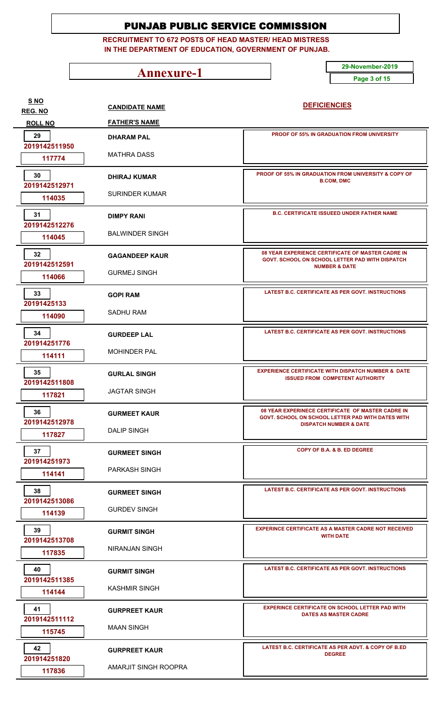**RECRUITMENT TO 672 POSTS OF HEAD MASTER/ HEAD MISTRESS IN THE DEPARTMENT OF EDUCATION, GOVERNMENT OF PUNJAB.**

**Annexure-1** 29-November-2019

**Page 3 of 15**

**CANDIDATE NAME FATHER'S NAME DEFICIENCIES REG. NO ROLL NO S NO DHARAM PAL** MATHRA DASS  **2019142511950 117774 PROOF OF 55% IN GRADUATION FROM UNIVERSITY 29 DHIRAJ KUMAR** SURINDER KUMAR  **2019142512971 114035 PROOF OF 55% IN GRADUATION FROM UNIVERSITY & COPY OF B.COM, DMC 30 DIMPY RANI** BALWINDER SINGH  **2019142512276 114045 B.C. CERTIFICATE ISSUEED UNDER FATHER NAME GAGANDEEP KAUR** GURMEJ SINGH  **2019142512591 114066 08 YEAR EXPERIENCE CERTIFICATE OF MASTER CADRE IN GOVT. SCHOOL ON SCHOOL LETTER PAD WITH DISPATCH NUMBER & DATE 32 GOPI RAM** SADHU RAM  **20191425133 114090 LATEST B.C. CERTIFICATE AS PER GOVT. INSTRUCTIONS GURDEEP LAL** MOHINDER PAL  **201914251776 114111 LATEST B.C. CERTIFICATE AS PER GOVT. INSTRUCTIONS GURLAL SINGH** JAGTAR SINGH  **2019142511808 117821 EXPERIENCE CERTIFICATE WITH DISPATCH NUMBER & DATE ISSUED FROM COMPETENT AUTHORITY 35 GURMEET KAUR** DALIP SINGH  **2019142512978 117827 08 YEAR EXPERINECE CERTIFICATE OF MASTER CADRE IN GOVT. SCHOOL ON SCHOOL LETTER PAD WITH DATES WITH DISPATCH NUMBER & DATE 36 GURMEET SINGH COPY OF B.A. & B. ED DEGREE 37** PARKASH SINGH  **201914251973 114141 GURMEET SINGH** GURDEV SINGH  **2019142513086 114139 LATEST B.C. CERTIFICATE AS PER GOVT. INSTRUCTIONS 38 GURMIT SINGH** NIRANJAN SINGH  **2019142513708 117835 EXPERINCE CERTIFICATE AS A MASTER CADRE NOT RECEIVED WITH DATE 39 GURMIT SINGH** KASHMIR SINGH  **2019142511385 114144 LATEST B.C. CERTIFICATE AS PER GOVT. INSTRUCTIONS GURPREET KAUR** MAAN SINGH  **2019142511112 115745 EXPERINCE CERTIFICATE ON SCHOOL LETTER PAD WITH DATES AS MASTER CADRE 41 GURPREET KAUR** AMARJIT SINGH ROOPRA  **201914251820 117836 LATEST B.C. CERTIFICATE AS PER ADVT. & COPY OF B.ED DEGREE 42**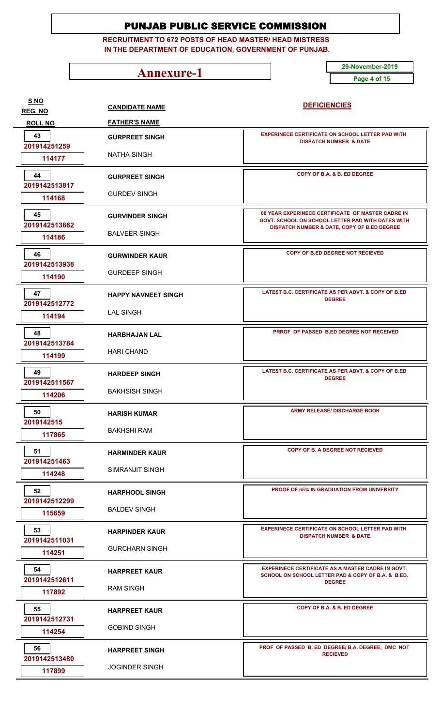**RECRUITMENT TO 672 POSTS OF HEAD MASTER/ HEAD MISTRESS IN THE DEPARTMENT OF EDUCATION, GOVERNMENT OF PUNJAB.**

**Annexure-1** 29-November-2019

**Page 4 of 15**

| S <sub>NO</sub><br><b>REG. NO</b> | <b>CANDIDATE NAME</b>      | <b>DEFICIENCIES</b>                                                                                            |
|-----------------------------------|----------------------------|----------------------------------------------------------------------------------------------------------------|
| <b>ROLL NO</b>                    | <b>FATHER'S NAME</b>       |                                                                                                                |
| 43<br>201914251259                | <b>GURPREET SINGH</b>      | <b>EXPERINECE CERTIFICATE ON SCHOOL LETTER PAD WITH</b><br><b>DISPATCH NUMBER &amp; DATE</b>                   |
| 114177                            | <b>NATHA SINGH</b>         |                                                                                                                |
| 44<br>2019142513817               | <b>GURPREET SINGH</b>      | COPY OF B.A. & B. ED DEGREE                                                                                    |
| 114168                            | <b>GURDEV SINGH</b>        |                                                                                                                |
| 45<br>2019142513862               | <b>GURVINDER SINGH</b>     | 08 YEAR EXPERINECE CERTIFICATE OF MASTER CADRE IN<br>GOVT. SCHOOL ON SCHOOL LETTER PAD WITH DATES WITH         |
| 114186                            | <b>BALVEER SINGH</b>       | DISPATCH NUMBER & DATE, COPY OF B.ED DEGREE                                                                    |
| 46<br>2019142513938               | <b>GURWINDER KAUR</b>      | COPY OF B.ED DEGREE NOT RECIEVED                                                                               |
| 114190                            | <b>GURDEEP SINGH</b>       |                                                                                                                |
| 47<br>2019142512772               | <b>HAPPY NAVNEET SINGH</b> | LATEST B.C. CERTIFICATE AS PER ADVT. & COPY OF B.ED<br><b>DEGREE</b>                                           |
| 114194                            | <b>LAL SINGH</b>           |                                                                                                                |
| 48<br>2019142513784               | <b>HARBHAJAN LAL</b>       | <b>PRROF OF PASSED B.ED DEGREE NOT RECEIVED</b>                                                                |
| 114199                            | <b>HARI CHAND</b>          |                                                                                                                |
| 49<br>2019142511567               | <b>HARDEEP SINGH</b>       | LATEST B.C. CERTIFICATE AS PER ADVT. & COPY OF B.ED<br><b>DEGREE</b>                                           |
| 114206                            | <b>BAKHSISH SINGH</b>      |                                                                                                                |
| 50                                | <b>HARISH KUMAR</b>        | <b>ARMY RELEASE/ DISCHARGE BOOK</b>                                                                            |
| 2019142515<br>117865              | BAKHSHI RAM                |                                                                                                                |
| 51<br>201914251463                | <b>HARMINDER KAUR</b>      | COPY OF B. A DEGREE NOT RECIEVED                                                                               |
| 114248                            | SIMRANJIT SINGH            |                                                                                                                |
| 52<br>2019142512299               | <b>HARPHOOL SINGH</b>      | <b>PROOF OF 55% IN GRADUATION FROM UNIVERSITY</b>                                                              |
| 115659                            | <b>BALDEV SINGH</b>        |                                                                                                                |
| 53<br>2019142511031               | <b>HARPINDER KAUR</b>      | <b>EXPERINECE CERTIFICATE ON SCHOOL LETTER PAD WITH</b><br><b>DISPATCH NUMBER &amp; DATE</b>                   |
| 114251                            | <b>GURCHARN SINGH</b>      |                                                                                                                |
| 54<br>2019142512611               | <b>HARPREET KAUR</b>       | <b>EXPERINECE CERTIFICATE AS A MASTER CADRE IN GOVT.</b><br>SCHOOL ON SCHOOL LETTER PAD & COPY OF B.A. & B.ED. |
| 117892                            | <b>RAM SINGH</b>           | <b>DEGREE</b>                                                                                                  |
| 55<br>2019142512731               | <b>HARPREET KAUR</b>       | COPY OF B.A. & B. ED DEGREE                                                                                    |
| 114254                            | <b>GOBIND SINGH</b>        |                                                                                                                |
| 56<br>2019142513480               | <b>HARPREET SINGH</b>      | PROF OF PASSED B. ED DEGREE/ B.A. DEGREE, DMC NOT<br><b>RECIEVED</b>                                           |
| 117899                            | <b>JOGINDER SINGH</b>      |                                                                                                                |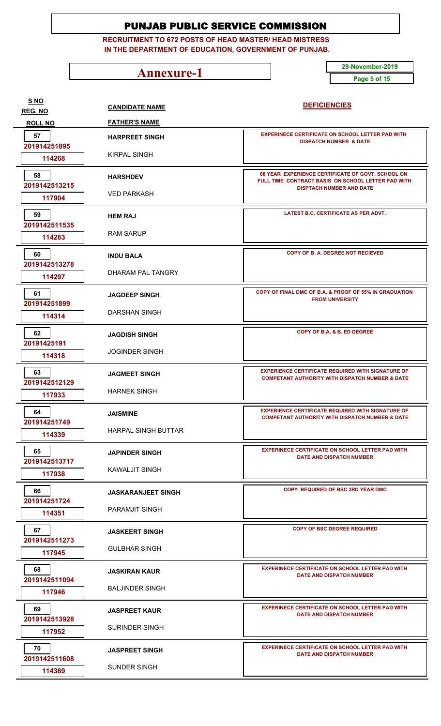**RECRUITMENT TO 672 POSTS OF HEAD MASTER/ HEAD MISTRESS IN THE DEPARTMENT OF EDUCATION, GOVERNMENT OF PUNJAB.**

**Annexure-1** 29-November-2019

**Page 5 of 15**

**CANDIDATE NAME FATHER'S NAME DEFICIENCIES REG. NO ROLL NO S NO HARPREET SINGH** KIRPAL SINGH  **201914251895 114268 EXPERINECE CERTIFICATE ON SCHOOL LETTER PAD WITH DISPATCH NUMBER & DATE 57 HARSHDEV** VED PARKASH  **2019142513215 117904 08 YEAR EXPERIENCE CERTIFICATE OF GOVT. SCHOOL ON FULL TIME CONTRACT BASIS ON SCHOOL LETTER PAD WITH DISPTACH NUMBER AND DATE 58 HEM RAJ** RAM SARUP  **2019142511535 114283 LATEST B.C. CERTIFICATE AS PER ADVT. INDU BALA** DHARAM PAL TANGRY  **2019142513278 114297 COPY OF B. A. DEGREE NOT RECIEVED 60 JAGDEEP SINGH** DARSHAN SINGH  **201914251899 114314 COPY OF FINAL DMC OF B.A. & PROOF OF 55% IN GRADUATION FROM UNIVERSITY 61 JAGDISH SINGH** JOGINDER SINGH  **20191425191 114318 COPY OF B.A. & B. ED DEGREE JAGMEET SINGH** HARNEK SINGH  **2019142512129 117933 EXPERIENCE CERTIFICATE REQUIRED WITH SIGNATURE OF COMPETANT AUTHORITY WITH DISPATCH NUMBER & DATE 63 JAISMINE** HARPAL SINGH BUTTAR  **201914251749 114339 EXPERIENCE CERTIFICATE REQUIRED WITH SIGNATURE OF COMPETANT AUTHORITY WITH DISPATCH NUMBER & DATE 64 JAPINDER SINGH** KAWALJIT SINGH  **2019142513717 117938 EXPERINECE CERTIFICATE ON SCHOOL LETTER PAD WITH DATE AND DISPATCH NUMBER 65 JASKARANJEET SINGH COPY REQUIRED OF BSC 3RD YEAR DMC 66** PARAMJIT SINGH  **201914251724 114351 JASKEERT SINGH** GULBHAR SINGH  **2019142511273 117945 COPY OF BSC DEGREE REQUIRED COPY OF BSC DEGREE REQUIRED JASKIRAN KAUR** BALJINDER SINGH  **2019142511094 117946 EXPERINECE CERTIFICATE ON SCHOOL LETTER PAD WITH DATE AND DISPATCH NUMBER 68 JASPREET KAUR** SURINDER SINGH  **2019142513928 117952 EXPERINECE CERTIFICATE ON SCHOOL LETTER PAD WITH DATE AND DISPATCH NUMBER 69 JASPREET SINGH** SUNDER SINGH  **2019142511608 114369 EXPERINECE CERTIFICATE ON SCHOOL LETTER PAD WITH DATE AND DISPATCH NUMBER 70**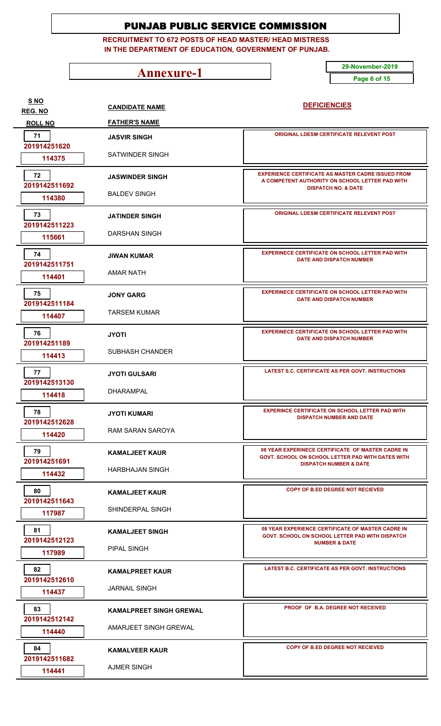**RECRUITMENT TO 672 POSTS OF HEAD MASTER/ HEAD MISTRESS IN THE DEPARTMENT OF EDUCATION, GOVERNMENT OF PUNJAB.**

**Annexure-1** 29-November-2019

**Page 6 of 15**

| <b>S NO</b><br><b>REG. NO</b> | <b>CANDIDATE NAME</b>          | <b>DEFICIENCIES</b>                                                                                          |
|-------------------------------|--------------------------------|--------------------------------------------------------------------------------------------------------------|
| <b>ROLL NO</b>                | <b>FATHER'S NAME</b>           |                                                                                                              |
| 71<br>201914251620            | <b>JASVIR SINGH</b>            | <b>ORIGINAL LDESM CERTIFICATE RELEVENT POST</b>                                                              |
| 114375                        | SATWINDER SINGH                |                                                                                                              |
| 72<br>2019142511692           | <b>JASWINDER SINGH</b>         | <b>EXPERIENCE CERTIFICATE AS MASTER CADRE ISSUED FROM</b><br>A COMPETENT AUTHORITY ON SCHOOL LETTER PAD WITH |
| 114380                        | <b>BALDEV SINGH</b>            | <b>DISPATCH NO. &amp; DATE</b>                                                                               |
| 73<br>2019142511223           | <b>JATINDER SINGH</b>          | ORIGINAL LDESM CERTIFICATE RELEVENT POST                                                                     |
| 115661                        | DARSHAN SINGH                  |                                                                                                              |
| 74<br>2019142511751           | <b>JIWAN KUMAR</b>             | <b>EXPERINECE CERTIFICATE ON SCHOOL LETTER PAD WITH</b><br><b>DATE AND DISPATCH NUMBER</b>                   |
| 114401                        | <b>AMAR NATH</b>               |                                                                                                              |
| 75<br>2019142511184           | <b>JONY GARG</b>               | <b>EXPERINECE CERTIFICATE ON SCHOOL LETTER PAD WITH</b><br><b>DATE AND DISPATCH NUMBER</b>                   |
| 114407                        | <b>TARSEM KUMAR</b>            |                                                                                                              |
| 76<br>201914251189            | <b>JYOTI</b>                   | <b>EXPERINECE CERTIFICATE ON SCHOOL LETTER PAD WITH</b><br><b>DATE AND DISPATCH NUMBER</b>                   |
| 114413                        | <b>SUBHASH CHANDER</b>         |                                                                                                              |
| 77<br>2019142513130           | <b>JYOTI GULSARI</b>           | <b>LATEST S.C. CERTIFICATE AS PER GOVT. INSTRUCTIONS</b>                                                     |
| 114418                        | <b>DHARAMPAL</b>               |                                                                                                              |
| 78<br>2019142512628           | <b>JYOTI KUMARI</b>            | <b>EXPERINCE CERTIFICATE ON SCHOOL LETTER PAD WITH</b><br><b>DISPATCH NUMBER AND DATE</b>                    |
| 114420                        | RAM SARAN SAROYA               |                                                                                                              |
| 79<br>201914251691            | <b>KAMALJEET KAUR</b>          | 08 YEAR EXPERINECE CERTIFICATE OF MASTER CADRE IN<br>GOVT. SCHOOL ON SCHOOL LETTER PAD WITH DATES WITH       |
| 114432                        | <b>HARBHAJAN SINGH</b>         | <b>DISPATCH NUMBER &amp; DATE</b>                                                                            |
| 80<br>2019142511643           | <b>KAMALJEET KAUR</b>          | COPY OF B.ED DEGREE NOT RECIEVED                                                                             |
| 117987                        | SHINDERPAL SINGH               |                                                                                                              |
| 81<br>2019142512123           | <b>KAMALJEET SINGH</b>         | 08 YEAR EXPERIENCE CERTIFICATE OF MASTER CADRE IN<br>GOVT. SCHOOL ON SCHOOL LETTER PAD WITH DISPATCH         |
| 117989                        | PIPAL SINGH                    | <b>NUMBER &amp; DATE</b>                                                                                     |
| 82<br>2019142512610           | <b>KAMALPREET KAUR</b>         | LATEST B.C. CERTIFICATE AS PER GOVT. INSTRUCTIONS                                                            |
| 114437                        | <b>JARNAIL SINGH</b>           |                                                                                                              |
| 83<br>2019142512142           | <b>KAMALPREET SINGH GREWAL</b> | PROOF OF B.A. DEGREE NOT RECEIVED                                                                            |
| 114440                        | AMARJEET SINGH GREWAL          |                                                                                                              |
| 84<br>2019142511682           | <b>KAMALVEER KAUR</b>          | COPY OF B.ED DEGREE NOT RECIEVED                                                                             |
| 114441                        | <b>AJMER SINGH</b>             |                                                                                                              |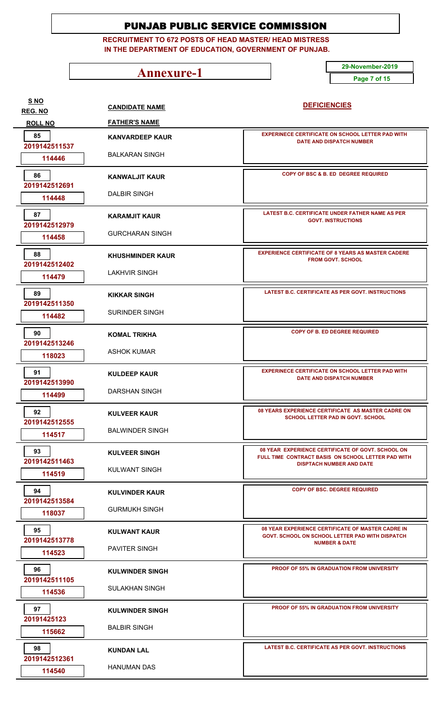**RECRUITMENT TO 672 POSTS OF HEAD MASTER/ HEAD MISTRESS IN THE DEPARTMENT OF EDUCATION, GOVERNMENT OF PUNJAB.**

**Annexure-1** 29-November-2019

**Page 7 of 15**

| <u>S NO</u><br><b>REG. NO</b> | <b>CANDIDATE NAME</b>   | <b>DEFICIENCIES</b>                                                                                                              |
|-------------------------------|-------------------------|----------------------------------------------------------------------------------------------------------------------------------|
| <b>ROLL NO</b>                | <b>FATHER'S NAME</b>    |                                                                                                                                  |
| 85<br>2019142511537           | <b>KANVARDEEP KAUR</b>  | <b>EXPERINECE CERTIFICATE ON SCHOOL LETTER PAD WITH</b><br><b>DATE AND DISPATCH NUMBER</b>                                       |
| 114446                        | <b>BALKARAN SINGH</b>   |                                                                                                                                  |
| 86<br>2019142512691           | <b>KANWALJIT KAUR</b>   | <b>COPY OF BSC &amp; B. ED DEGREE REQUIRED</b>                                                                                   |
| 114448                        | <b>DALBIR SINGH</b>     |                                                                                                                                  |
| 87<br>2019142512979           | <b>KARAMJIT KAUR</b>    | LATEST B.C. CERTIFICATE UNDER FATHER NAME AS PER<br><b>GOVT. INSTRUCTIONS</b>                                                    |
| 114458                        | <b>GURCHARAN SINGH</b>  |                                                                                                                                  |
| 88<br>2019142512402           | <b>KHUSHMINDER KAUR</b> | <b>EXPERIENCE CERTIFICATE OF 8 YEARS AS MASTER CADERE</b><br><b>FROM GOVT, SCHOOL</b>                                            |
| 114479                        | <b>LAKHVIR SINGH</b>    |                                                                                                                                  |
| 89<br>2019142511350           | <b>KIKKAR SINGH</b>     | LATEST B.C. CERTIFICATE AS PER GOVT. INSTRUCTIONS                                                                                |
| 114482                        | <b>SURINDER SINGH</b>   |                                                                                                                                  |
| 90<br>2019142513246           | <b>KOMAL TRIKHA</b>     | <b>COPY OF B. ED DEGREE REQUIRED</b>                                                                                             |
| 118023                        | <b>ASHOK KUMAR</b>      |                                                                                                                                  |
| 91<br>2019142513990           | <b>KULDEEP KAUR</b>     | <b>EXPERINECE CERTIFICATE ON SCHOOL LETTER PAD WITH</b><br><b>DATE AND DISPATCH NUMBER</b>                                       |
| 114499                        | <b>DARSHAN SINGH</b>    |                                                                                                                                  |
| 92<br>2019142512555           | <b>KULVEER KAUR</b>     | 08 YEARS EXPERIENCE CERTIFICATE AS MASTER CADRE ON<br><b>SCHOOL LETTER PAD IN GOVT. SCHOOL</b>                                   |
| 114517                        | <b>BALWINDER SINGH</b>  |                                                                                                                                  |
| 93<br>2019142511463           | <b>KULVEER SINGH</b>    | 08 YEAR EXPERIENCE CERTIFICATE OF GOVT. SCHOOL ON<br>FULL TIME CONTRACT BASIS ON SCHOOL LETTER PAD WITH                          |
| 114519                        | KULWANT SINGH           | <b>DISPTACH NUMBER AND DATE</b>                                                                                                  |
| 94<br>2019142513584           | <b>KULVINDER KAUR</b>   | <b>COPY OF BSC. DEGREE REQUIRED</b>                                                                                              |
| 118037                        | <b>GURMUKH SINGH</b>    |                                                                                                                                  |
| 95<br>2019142513778           | <b>KULWANT KAUR</b>     | 08 YEAR EXPERIENCE CERTIFICATE OF MASTER CADRE IN<br>GOVT. SCHOOL ON SCHOOL LETTER PAD WITH DISPATCH<br><b>NUMBER &amp; DATE</b> |
| 114523                        | <b>PAVITER SINGH</b>    |                                                                                                                                  |
| 96<br>2019142511105           | <b>KULWINDER SINGH</b>  | <b>PROOF OF 55% IN GRADUATION FROM UNIVERSITY</b>                                                                                |
| 114536                        | SULAKHAN SINGH          |                                                                                                                                  |
| 97<br>20191425123             | <b>KULWINDER SINGH</b>  | <b>PROOF OF 55% IN GRADUATION FROM UNIVERSITY</b>                                                                                |
| 115662                        | <b>BALBIR SINGH</b>     |                                                                                                                                  |
| 98<br>2019142512361           | <b>KUNDAN LAL</b>       | LATEST B.C. CERTIFICATE AS PER GOVT. INSTRUCTIONS                                                                                |
| 114540                        | <b>HANUMAN DAS</b>      |                                                                                                                                  |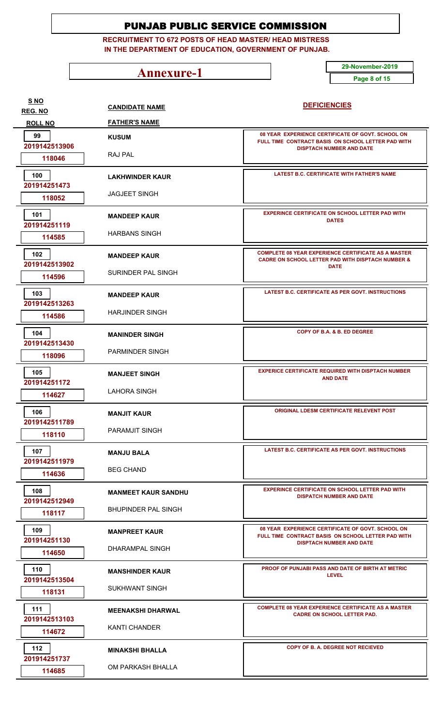**RECRUITMENT TO 672 POSTS OF HEAD MASTER/ HEAD MISTRESS IN THE DEPARTMENT OF EDUCATION, GOVERNMENT OF PUNJAB.**

**Annexure-1** 29-November-2019

**Page 8 of 15**

| <u>S NO</u><br>REG. NO | <b>CANDIDATE NAME</b>      | <b>DEFICIENCIES</b>                                                                                                        |
|------------------------|----------------------------|----------------------------------------------------------------------------------------------------------------------------|
| <b>ROLL NO</b>         | <b>FATHER'S NAME</b>       |                                                                                                                            |
| 99<br>2019142513906    | <b>KUSUM</b>               | 08 YEAR EXPERIENCE CERTIFICATE OF GOVT. SCHOOL ON<br>FULL TIME CONTRACT BASIS ON SCHOOL LETTER PAD WITH                    |
| 118046                 | RAJ PAL                    | <b>DISPTACH NUMBER AND DATE</b>                                                                                            |
| 100<br>201914251473    | <b>LAKHWINDER KAUR</b>     | <b>LATEST B.C. CERTIFICATE WITH FATHER'S NAME</b>                                                                          |
| 118052                 | <b>JAGJEET SINGH</b>       |                                                                                                                            |
| 101<br>201914251119    | <b>MANDEEP KAUR</b>        | <b>EXPERINCE CERTIFICATE ON SCHOOL LETTER PAD WITH</b><br><b>DATES</b>                                                     |
| 114585                 | HARBANS SINGH              |                                                                                                                            |
| 102<br>2019142513902   | <b>MANDEEP KAUR</b>        | <b>COMPLETE 08 YEAR EXPERIENCE CERTIFICATE AS A MASTER</b><br><b>CADRE ON SCHOOL LETTER PAD WITH DISPTACH NUMBER &amp;</b> |
| 114596                 | <b>SURINDER PAL SINGH</b>  | <b>DATE</b>                                                                                                                |
| 103<br>2019142513263   | <b>MANDEEP KAUR</b>        | LATEST B.C. CERTIFICATE AS PER GOVT. INSTRUCTIONS                                                                          |
| 114586                 | <b>HARJINDER SINGH</b>     |                                                                                                                            |
| 104<br>2019142513430   | <b>MANINDER SINGH</b>      | COPY OF B.A. & B. ED DEGREE                                                                                                |
| 118096                 | PARMINDER SINGH            |                                                                                                                            |
| 105<br>201914251172    | <b>MANJEET SINGH</b>       | <b>EXPERICE CERTIFICATE REQUIRED WITH DISPTACH NUMBER</b><br><b>AND DATE</b>                                               |
| 114627                 | <b>LAHORA SINGH</b>        |                                                                                                                            |
| 106<br>2019142511789   | <b>MANJIT KAUR</b>         | <b>ORIGINAL LDESM CERTIFICATE RELEVENT POST</b>                                                                            |
| 118110                 | PARAMJIT SINGH             |                                                                                                                            |
| 107<br>2019142511979   | <b>MANJU BALA</b>          | <b>LATEST B.C. CERTIFICATE AS PER GOVT. INSTRUCTIONS</b>                                                                   |
| 114636                 | <b>BEG CHAND</b>           |                                                                                                                            |
| 108<br>2019142512949   | <b>MANMEET KAUR SANDHU</b> | <b>EXPERINCE CERTIFICATE ON SCHOOL LETTER PAD WITH</b><br><b>DISPATCH NUMBER AND DATE</b>                                  |
| 118117                 | <b>BHUPINDER PAL SINGH</b> |                                                                                                                            |
| 109<br>201914251130    | <b>MANPREET KAUR</b>       | 08 YEAR EXPERIENCE CERTIFICATE OF GOVT. SCHOOL ON<br>FULL TIME CONTRACT BASIS ON SCHOOL LETTER PAD WITH                    |
| 114650                 | DHARAMPAL SINGH            | <b>DISPTACH NUMBER AND DATE</b>                                                                                            |
| 110<br>2019142513504   | <b>MANSHINDER KAUR</b>     | <b>PROOF OF PUNJABI PASS AND DATE OF BIRTH AT METRIC</b><br><b>LEVEL</b>                                                   |
| 118131                 | <b>SUKHWANT SINGH</b>      |                                                                                                                            |
| 111<br>2019142513103   | <b>MEENAKSHI DHARWAL</b>   | <b>COMPLETE 08 YEAR EXPERIENCE CERTIFICATE AS A MASTER</b><br><b>CADRE ON SCHOOL LETTER PAD.</b>                           |
| 114672                 | KANTI CHANDER              |                                                                                                                            |
| 112<br>201914251737    | <b>MINAKSHI BHALLA</b>     | COPY OF B. A. DEGREE NOT RECIEVED                                                                                          |
| 114685                 | OM PARKASH BHALLA          |                                                                                                                            |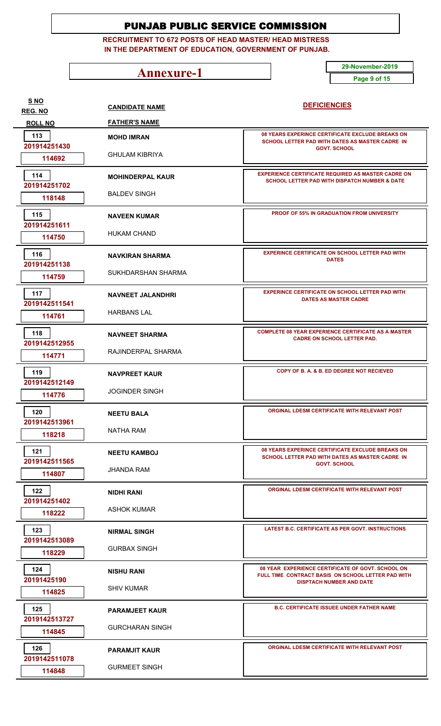**RECRUITMENT TO 672 POSTS OF HEAD MASTER/ HEAD MISTRESS IN THE DEPARTMENT OF EDUCATION, GOVERNMENT OF PUNJAB.**

**Annexure-1** 29-November-2019

**Page 9 of 15**

| S NO<br><b>REG. NO</b> | <b>CANDIDATE NAME</b>    | <b>DEFICIENCIES</b>                                                                                                                        |
|------------------------|--------------------------|--------------------------------------------------------------------------------------------------------------------------------------------|
| <b>ROLL NO</b>         | <b>FATHER'S NAME</b>     |                                                                                                                                            |
| 113<br>201914251430    | <b>MOHD IMRAN</b>        | 08 YEARS EXPERINCE CERTIFICATE EXCLUDE BREAKS ON<br>SCHOOL LETTER PAD WITH DATES AS MASTER CADRE IN                                        |
| 114692                 | <b>GHULAM KIBRIYA</b>    | <b>GOVT. SCHOOL</b>                                                                                                                        |
| 114<br>201914251702    | <b>MOHINDERPAL KAUR</b>  | <b>EXPERIENCE CERTIFICATE REQUIRED AS MASTER CADRE ON</b><br>SCHOOL LETTER PAD WITH DISPATCH NUMBER & DATE                                 |
| 118148                 | <b>BALDEV SINGH</b>      |                                                                                                                                            |
| 115<br>201914251611    | <b>NAVEEN KUMAR</b>      | <b>PROOF OF 55% IN GRADUATION FROM UNIVERSITY</b>                                                                                          |
| 114750                 | <b>HUKAM CHAND</b>       |                                                                                                                                            |
| 116<br>201914251138    | <b>NAVKIRAN SHARMA</b>   | <b>EXPERINCE CERTIFICATE ON SCHOOL LETTER PAD WITH</b><br><b>DATES</b>                                                                     |
| 114759                 | SUKHDARSHAN SHARMA       |                                                                                                                                            |
| 117<br>2019142511541   | <b>NAVNEET JALANDHRI</b> | <b>EXPERINCE CERTIFICATE ON SCHOOL LETTER PAD WITH</b><br><b>DATES AS MASTER CADRE</b>                                                     |
| 114761                 | <b>HARBANS LAL</b>       |                                                                                                                                            |
| 118<br>2019142512955   | <b>NAVNEET SHARMA</b>    | <b>COMPLETE 08 YEAR EXPERIENCE CERTIFICATE AS A MASTER</b><br><b>CADRE ON SCHOOL LETTER PAD.</b>                                           |
| 114771                 | RAJINDERPAL SHARMA       |                                                                                                                                            |
| 119<br>2019142512149   | <b>NAVPREET KAUR</b>     | COPY OF B. A. & B. ED DEGREE NOT RECIEVED                                                                                                  |
| 114776                 | <b>JOGINDER SINGH</b>    |                                                                                                                                            |
| 120<br>2019142513961   | <b>NEETU BALA</b>        | ORGINAL LDESM CERTIFICATE WITH RELEVANT POST                                                                                               |
| 118218                 | NATHA RAM                |                                                                                                                                            |
| 121<br>2019142511565   | <b>NEETU KAMBOJ</b>      | 08 YEARS EXPERINCE CERTIFICATE EXCLUDE BREAKS ON<br>SCHOOL LETTER PAD WITH DATES AS MASTER CADRE IN                                        |
| 114807                 | JHANDA RAM               | <b>GOVT. SCHOOL</b>                                                                                                                        |
| 122<br>201914251402    | NIDHI RANI               | ORGINAL LDESM CERTIFICATE WITH RELEVANT POST                                                                                               |
| 118222                 | <b>ASHOK KUMAR</b>       |                                                                                                                                            |
| 123<br>2019142513089   | <b>NIRMAL SINGH</b>      | LATEST B.C. CERTIFICATE AS PER GOVT. INSTRUCTIONS                                                                                          |
| 118229                 | <b>GURBAX SINGH</b>      |                                                                                                                                            |
| 124<br>20191425190     | <b>NISHU RANI</b>        | 08 YEAR EXPERIENCE CERTIFICATE OF GOVT. SCHOOL ON<br>FULL TIME CONTRACT BASIS ON SCHOOL LETTER PAD WITH<br><b>DISPTACH NUMBER AND DATE</b> |
| 114825                 | <b>SHIV KUMAR</b>        |                                                                                                                                            |
| 125<br>2019142513727   | <b>PARAMJEET KAUR</b>    | <b>B.C. CERTIFICATE ISSUEE UNDER FATHER NAME</b>                                                                                           |
| 114845                 | <b>GURCHARAN SINGH</b>   |                                                                                                                                            |
| 126<br>2019142511078   | <b>PARAMJIT KAUR</b>     | ORGINAL LDESM CERTIFICATE WITH RELEVANT POST                                                                                               |
| 114848                 | <b>GURMEET SINGH</b>     |                                                                                                                                            |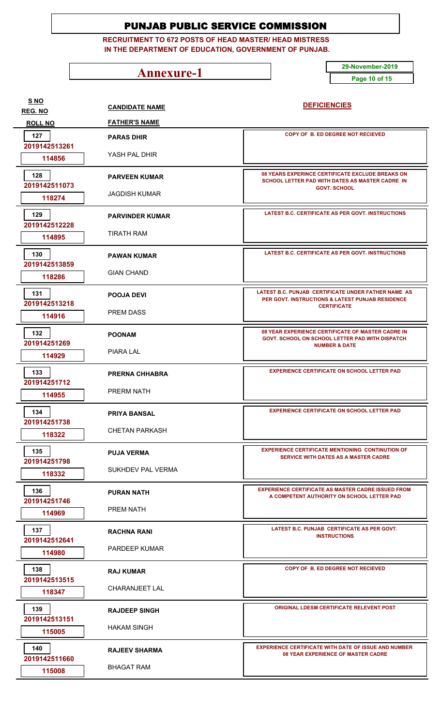**RECRUITMENT TO 672 POSTS OF HEAD MASTER/ HEAD MISTRESS IN THE DEPARTMENT OF EDUCATION, GOVERNMENT OF PUNJAB.**

**Annexure-1** 29-November-2019

**Page 10 of 15**

**CANDIDATE NAME FATHER'S NAME DEFICIENCIES REG. NO ROLL NO S NO PARAS DHIR** YASH PAL DHIR  **2019142513261 114856 COPY OF B. ED DEGREE NOT RECIEVED PARAS DHIR 127 PARVEEN KUMAR** JAGDISH KUMAR  **2019142511073 118274 08 YEARS EXPERINCE CERTIFICATE EXCLUDE BREAKS ON SCHOOL LETTER PAD WITH DATES AS MASTER CADRE IN GOVT. SCHOOL 128 PARVINDER KUMAR** TIRATH RAM  **2019142512228 114895 LATEST B.C. CERTIFICATE AS PER GOVT. INSTRUCTIONS 129 PAWAN KUMAR** GIAN CHAND  **2019142513859 118286 LATEST B.C. CERTIFICATE AS PER GOVT. INSTRUCTIONS 130 POOJA DEVI** PREM DASS  **2019142513218 114916 LATEST B.C. PUNJAB CERTIFICATE UNDER FATHER NAME AS PER GOVT. INSTRUCTIONS & LATEST PUNJAB RESIDENCE CERTIFICATE 131 POONAM** PIARA LAL  **201914251269 114929 08 YEAR EXPERIENCE CERTIFICATE OF MASTER CADRE IN GOVT. SCHOOL ON SCHOOL LETTER PAD WITH DISPATCH NUMBER & DATE 132 PRERNA CHHABRA** PRERM NATH  **201914251712 114955 EXPERIENCE CERTIFICATE ON SCHOOL LETTER PAD PRIYA BANSAL** CHETAN PARKASH  **201914251738 118322 EXPERIENCE CERTIFICATE ON SCHOOL LETTER PAD 134 EXPERIENCE CERTIFICATE ON SCHOOL LETTER PAD PUJA VERMA** SUKHDEV PAL VERMA  **201914251798 118332 EXPERIENCE CERTIFICATE MENTIONING CONTINUTION OF SERVICE WITH DATES AS A MASTER CADRE 135 PURAN NATH** PREM NATH  **201914251746 114969 EXPERIENCE CERTIFICATE AS MASTER CADRE ISSUED FROM A COMPETENT AUTHORITY ON SCHOOL LETTER PAD 136 RACHNA RANI** PARDEEP KUMAR  **2019142512641 114980 LATEST B.C. PUNJAB CERTIFICATE AS PER GOVT. INSTRUCTIONS 137 RAJ KUMAR** CHARANJEET LAL  **2019142513515 118347 COPY OF B. ED DEGREE NOT RECIEVED RAJDEEP SINGH** HAKAM SINGH  **2019142513151 115005 ORIGINAL LDESM CERTIFICATE RELEVENT POST RAJEEV SHARMA** BHAGAT RAM  **2019142511660 115008 EXPERIENCE CERTIFICATE WITH DATE OF ISSUE AND NUMBER 08 YEAR EXPERIENCE OF MASTER CADRE 140**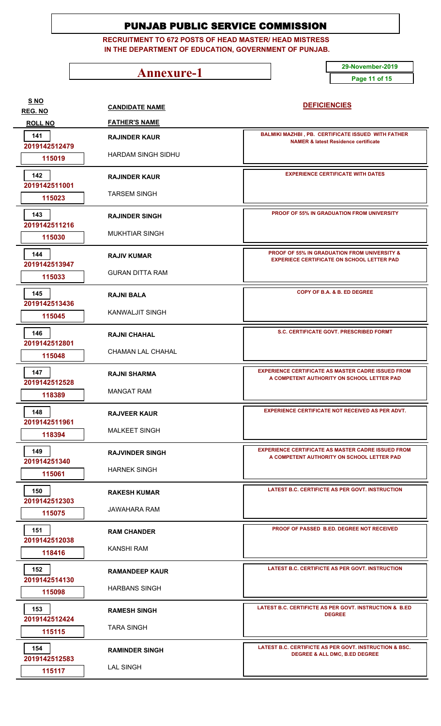**RECRUITMENT TO 672 POSTS OF HEAD MASTER/ HEAD MISTRESS IN THE DEPARTMENT OF EDUCATION, GOVERNMENT OF PUNJAB.**

**Annexure-1** 29-November-2019

**Page 11 of 15**

| <b>S NO</b><br><b>REG. NO</b> | <b>CANDIDATE NAME</b>     | <b>DEFICIENCIES</b>                                                                                          |
|-------------------------------|---------------------------|--------------------------------------------------------------------------------------------------------------|
| <b>ROLL NO</b>                | <b>FATHER'S NAME</b>      |                                                                                                              |
| 141<br>2019142512479          | <b>RAJINDER KAUR</b>      | <b>BALMIKI MAZHBI, PB. CERTIFICATE ISSUED WITH FATHER</b><br><b>NAMER &amp; latest Residence certificate</b> |
| 115019                        | <b>HARDAM SINGH SIDHU</b> |                                                                                                              |
| 142<br>2019142511001          | <b>RAJINDER KAUR</b>      | <b>EXPERIENCE CERTIFICATE WITH DATES</b>                                                                     |
| 115023                        | <b>TARSEM SINGH</b>       |                                                                                                              |
| 143<br>2019142511216          | <b>RAJINDER SINGH</b>     | <b>PROOF OF 55% IN GRADUATION FROM UNIVERSITY</b>                                                            |
| 115030                        | <b>MUKHTIAR SINGH</b>     |                                                                                                              |
| 144<br>2019142513947          | <b>RAJIV KUMAR</b>        | <b>PROOF OF 55% IN GRADUATION FROM UNIVERSITY &amp;</b><br><b>EXPERIECE CERTIFICATE ON SCHOOL LETTER PAD</b> |
| 115033                        | <b>GURAN DITTA RAM</b>    |                                                                                                              |
| 145<br>2019142513436          | <b>RAJNI BALA</b>         | COPY OF B.A. & B. ED DEGREE                                                                                  |
| 115045                        | <b>KANWALJIT SINGH</b>    |                                                                                                              |
| 146<br>2019142512801          | <b>RAJNI CHAHAL</b>       | S.C. CERTIFICATE GOVT. PRESCRIBED FORMT                                                                      |
| 115048                        | CHAMAN LAL CHAHAL         |                                                                                                              |
| 147<br>2019142512528          | <b>RAJNI SHARMA</b>       | <b>EXPERIENCE CERTIFICATE AS MASTER CADRE ISSUED FROM</b><br>A COMPETENT AUTHORITY ON SCHOOL LETTER PAD      |
| 118389                        | <b>MANGAT RAM</b>         |                                                                                                              |
| 148<br>2019142511961          | <b>RAJVEER KAUR</b>       | <b>EXPERIENCE CERTIFICATE NOT RECEIVED AS PER ADVT.</b>                                                      |
| 118394                        | <b>MALKEET SINGH</b>      |                                                                                                              |
| 149<br>201914251340           | <b>RAJVINDER SINGH</b>    | <b>EXPERIENCE CERTIFICATE AS MASTER CADRE ISSUED FROM</b><br>A COMPETENT AUTHORITY ON SCHOOL LETTER PAD      |
| 115061                        | <b>HARNEK SINGH</b>       |                                                                                                              |
| 150<br>2019142512303          | <b>RAKESH KUMAR</b>       | LATEST B.C. CERTIFICTE AS PER GOVT. INSTRUCTION                                                              |
| 115075                        | JAWAHARA RAM              |                                                                                                              |
| 151<br>2019142512038          | <b>RAM CHANDER</b>        | PROOF OF PASSED B.ED. DEGREE NOT RECEIVED                                                                    |
| 118416                        | KANSHI RAM                |                                                                                                              |
| 152<br>2019142514130          | <b>RAMANDEEP KAUR</b>     | LATEST B.C. CERTIFICTE AS PER GOVT. INSTRUCTION                                                              |
| 115098                        | <b>HARBANS SINGH</b>      |                                                                                                              |
| 153<br>2019142512424          | <b>RAMESH SINGH</b>       | LATEST B.C. CERTIFICTE AS PER GOVT. INSTRUCTION & B.ED<br><b>DEGREE</b>                                      |
| 115115                        | <b>TARA SINGH</b>         |                                                                                                              |
| 154<br>2019142512583          | <b>RAMINDER SINGH</b>     | LATEST B.C. CERTIFICTE AS PER GOVT. INSTRUCTION & BSC.<br><b>DEGREE &amp; ALL DMC, B.ED DEGREE</b>           |
| 115117                        | <b>LAL SINGH</b>          |                                                                                                              |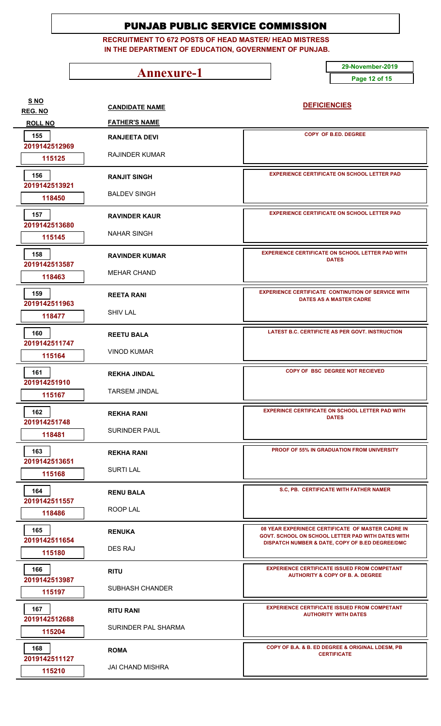**RECRUITMENT TO 672 POSTS OF HEAD MASTER/ HEAD MISTRESS IN THE DEPARTMENT OF EDUCATION, GOVERNMENT OF PUNJAB.**

**Annexure-1** 29-November-2019

**Page 12 of 15**

| SNO                       | <b>CANDIDATE NAME</b>   | <b>DEFICIENCIES</b>                                                                                  |
|---------------------------|-------------------------|------------------------------------------------------------------------------------------------------|
| REG. NO<br><b>ROLL NO</b> | <b>FATHER'S NAME</b>    |                                                                                                      |
| 155                       | <b>RANJEETA DEVI</b>    | <b>COPY OF B.ED. DEGREE</b>                                                                          |
| 2019142512969             |                         |                                                                                                      |
| 115125                    | <b>RAJINDER KUMAR</b>   |                                                                                                      |
| 156                       | <b>RANJIT SINGH</b>     | <b>EXPERIENCE CERTIFICATE ON SCHOOL LETTER PAD</b>                                                   |
| 2019142513921             | <b>BALDEV SINGH</b>     |                                                                                                      |
| 118450                    |                         |                                                                                                      |
| 157<br>2019142513680      | <b>RAVINDER KAUR</b>    | <b>EXPERIENCE CERTIFICATE ON SCHOOL LETTER PAD</b>                                                   |
| 115145                    | NAHAR SINGH             |                                                                                                      |
| 158                       | <b>RAVINDER KUMAR</b>   | <b>EXPERIENCE CERTIFICATE ON SCHOOL LETTER PAD WITH</b><br><b>DATES</b>                              |
| 2019142513587             | <b>MEHAR CHAND</b>      |                                                                                                      |
| 118463                    |                         |                                                                                                      |
| 159<br>2019142511963      | <b>REETA RANI</b>       | <b>EXPERIENCE CERTIFICATE CONTINUTION OF SERVICE WITH</b><br>DATES AS A MASTER CADRE                 |
| 118477                    | <b>SHIV LAL</b>         |                                                                                                      |
| 160                       |                         | LATEST B.C. CERTIFICTE AS PER GOVT. INSTRUCTION                                                      |
| 2019142511747             | <b>REETU BALA</b>       |                                                                                                      |
| 115164                    | <b>VINOD KUMAR</b>      |                                                                                                      |
| 161<br>201914251910       | <b>REKHA JINDAL</b>     | COPY OF BSC DEGREE NOT RECIEVED                                                                      |
| 115167                    | <b>TARSEM JINDAL</b>    |                                                                                                      |
| 162                       |                         | <b>EXPERINCE CERTIFICATE ON SCHOOL LETTER PAD WITH</b>                                               |
| 201914251748              | <b>REKHA RANI</b>       | <b>DATES</b>                                                                                         |
| 118481                    | <b>SURINDER PAUL</b>    |                                                                                                      |
| 163                       | <b>REKHA RANI</b>       | <b>PROOF OF 55% IN GRADUATION FROM UNIVERSITY</b>                                                    |
| 2019142513651             | <b>SURTI LAL</b>        |                                                                                                      |
| 115168                    |                         |                                                                                                      |
| 164<br>2019142511557      | <b>RENU BALA</b>        | S.C, PB. CERTIFICATE WITH FATHER NAMER                                                               |
| 118486                    | ROOP LAL                |                                                                                                      |
| 165                       | <b>RENUKA</b>           | 08 YEAR EXPERINECE CERTIFICATE OF MASTER CADRE IN                                                    |
| 2019142511654             |                         | GOVT. SCHOOL ON SCHOOL LETTER PAD WITH DATES WITH<br>DISPATCH NUMBER & DATE, COPY OF B.ED DEGREE/DMC |
| 115180                    | DES RAJ                 |                                                                                                      |
| 166                       | <b>RITU</b>             | <b>EXPERIENCE CERTIFICATE ISSUED FROM COMPETANT</b><br><b>AUTHORITY &amp; COPY OF B. A. DEGREE</b>   |
| 2019142513987<br>115197   | <b>SUBHASH CHANDER</b>  |                                                                                                      |
|                           |                         | <b>EXPERIENCE CERTIFICATE ISSUED FROM COMPETANT</b>                                                  |
| 167<br>2019142512688      | <b>RITU RANI</b>        | <b>AUTHORITY WITH DATES</b>                                                                          |
| 115204                    | SURINDER PAL SHARMA     |                                                                                                      |
| 168                       | <b>ROMA</b>             | COPY OF B.A. & B. ED DEGREE & ORIGINAL LDESM, PB                                                     |
| 2019142511127             | <b>JAI CHAND MISHRA</b> | <b>CERTIFICATE</b>                                                                                   |
| 115210                    |                         |                                                                                                      |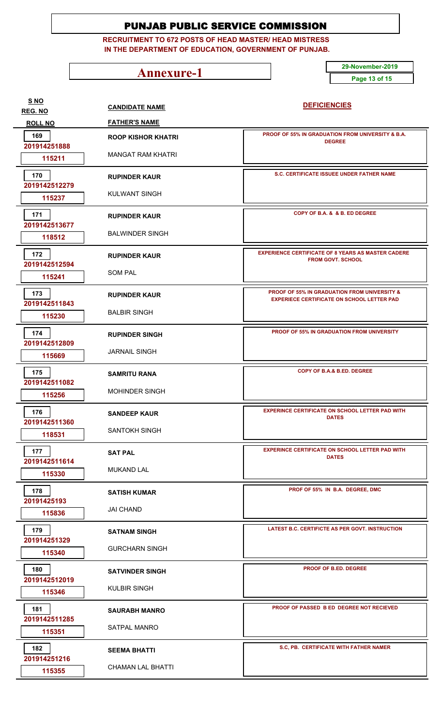**RECRUITMENT TO 672 POSTS OF HEAD MASTER/ HEAD MISTRESS IN THE DEPARTMENT OF EDUCATION, GOVERNMENT OF PUNJAB.**

**Annexure-1** 29-November-2019

**Page 13 of 15**

| SNO<br>REG. NO       | <b>CANDIDATE NAME</b>     | <b>DEFICIENCIES</b>                                                                               |
|----------------------|---------------------------|---------------------------------------------------------------------------------------------------|
| <b>ROLL NO</b>       | <b>FATHER'S NAME</b>      |                                                                                                   |
| 169<br>201914251888  | <b>ROOP KISHOR KHATRI</b> | PROOF OF 55% IN GRADUATION FROM UNIVERSITY & B.A.<br><b>DEGREE</b>                                |
| 115211               | MANGAT RAM KHATRI         |                                                                                                   |
| 170<br>2019142512279 | <b>RUPINDER KAUR</b>      | S.C. CERTIFICATE ISSUEE UNDER FATHER NAME                                                         |
| 115237               | KULWANT SINGH             |                                                                                                   |
| 171<br>2019142513677 | <b>RUPINDER KAUR</b>      | COPY OF B.A. & & B. ED DEGREE                                                                     |
| 118512               | <b>BALWINDER SINGH</b>    |                                                                                                   |
| 172<br>2019142512594 | <b>RUPINDER KAUR</b>      | <b>EXPERIENCE CERTIFICATE OF 8 YEARS AS MASTER CADERE</b><br><b>FROM GOVT, SCHOOL</b>             |
| 115241               | <b>SOM PAL</b>            |                                                                                                   |
| 173<br>2019142511843 | <b>RUPINDER KAUR</b>      | PROOF OF 55% IN GRADUATION FROM UNIVERSITY &<br><b>EXPERIECE CERTIFICATE ON SCHOOL LETTER PAD</b> |
| 115230               | <b>BALBIR SINGH</b>       |                                                                                                   |
| 174<br>2019142512809 | <b>RUPINDER SINGH</b>     | <b>PROOF OF 55% IN GRADUATION FROM UNIVERSITY</b>                                                 |
| 115669               | <b>JARNAIL SINGH</b>      |                                                                                                   |
| 175<br>2019142511082 | <b>SAMRITU RANA</b>       | COPY OF B.A.& B.ED. DEGREE                                                                        |
| 115256               | <b>MOHINDER SINGH</b>     |                                                                                                   |
| 176<br>2019142511360 | <b>SANDEEP KAUR</b>       | <b>EXPERINCE CERTIFICATE ON SCHOOL LETTER PAD WITH</b><br><b>DATES</b>                            |
| 118531               | <b>SANTOKH SINGH</b>      |                                                                                                   |
| 177<br>2019142511614 | <b>SAT PAL</b>            | <b>EXPERINCE CERTIFICATE ON SCHOOL LETTER PAD WITH</b><br><b>DATES</b>                            |
| 115330               | <b>MUKAND LAL</b>         |                                                                                                   |
| 178<br>20191425193   | <b>SATISH KUMAR</b>       | PROF OF 55% IN B.A. DEGREE, DMC                                                                   |
| 115836               | <b>JAI CHAND</b>          |                                                                                                   |
| 179<br>201914251329  | <b>SATNAM SINGH</b>       | LATEST B.C. CERTIFICTE AS PER GOVT. INSTRUCTION                                                   |
| 115340               | <b>GURCHARN SINGH</b>     |                                                                                                   |
| 180<br>2019142512019 | <b>SATVINDER SINGH</b>    | <b>PROOF OF B.ED. DEGREE</b>                                                                      |
| 115346               | <b>KULBIR SINGH</b>       |                                                                                                   |
| 181<br>2019142511285 | <b>SAURABH MANRO</b>      | PROOF OF PASSED B ED DEGREE NOT RECIEVED                                                          |
| 115351               | SATPAL MANRO              |                                                                                                   |
| 182<br>201914251216  | <b>SEEMA BHATTI</b>       | S.C, PB. CERTIFICATE WITH FATHER NAMER                                                            |
| 115355               | <b>CHAMAN LAL BHATTI</b>  |                                                                                                   |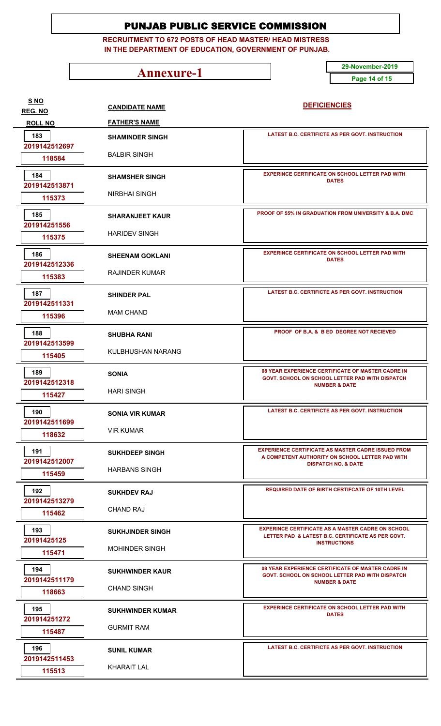**RECRUITMENT TO 672 POSTS OF HEAD MASTER/ HEAD MISTRESS IN THE DEPARTMENT OF EDUCATION, GOVERNMENT OF PUNJAB.**

**Annexure-1** 29-November-2019

**Page 14 of 15**

| <u>S NO</u>                      | <b>CANDIDATE NAME</b>   | <b>DEFICIENCIES</b>                                                                                                                  |
|----------------------------------|-------------------------|--------------------------------------------------------------------------------------------------------------------------------------|
| <b>REG. NO</b><br><b>ROLL NO</b> | <b>FATHER'S NAME</b>    |                                                                                                                                      |
| 183                              | <b>SHAMINDER SINGH</b>  | LATEST B.C. CERTIFICTE AS PER GOVT. INSTRUCTION                                                                                      |
| 2019142512697<br>118584          | <b>BALBIR SINGH</b>     |                                                                                                                                      |
| 184                              | <b>SHAMSHER SINGH</b>   | <b>EXPERINCE CERTIFICATE ON SCHOOL LETTER PAD WITH</b><br><b>DATES</b>                                                               |
| 2019142513871<br>115373          | <b>NIRBHAI SINGH</b>    |                                                                                                                                      |
| 185<br>201914251556              | <b>SHARANJEET KAUR</b>  | <b>PROOF OF 55% IN GRADUATION FROM UNIVERSITY &amp; B.A. DMC</b>                                                                     |
| 115375                           | <b>HARIDEV SINGH</b>    |                                                                                                                                      |
| 186<br>2019142512336             | <b>SHEENAM GOKLANI</b>  | <b>EXPERINCE CERTIFICATE ON SCHOOL LETTER PAD WITH</b><br><b>DATES</b>                                                               |
| 115383                           | <b>RAJINDER KUMAR</b>   |                                                                                                                                      |
| 187<br>2019142511331             | <b>SHINDER PAL</b>      | <b>LATEST B.C. CERTIFICTE AS PER GOVT. INSTRUCTION</b>                                                                               |
| 115396                           | <b>MAM CHAND</b>        |                                                                                                                                      |
| 188<br>2019142513599             | <b>SHUBHA RANI</b>      | PROOF OF B.A. & B ED DEGREE NOT RECIEVED                                                                                             |
| 115405                           | KULBHUSHAN NARANG       |                                                                                                                                      |
| 189<br>2019142512318             | <b>SONIA</b>            | 08 YEAR EXPERIENCE CERTIFICATE OF MASTER CADRE IN<br>GOVT. SCHOOL ON SCHOOL LETTER PAD WITH DISPATCH<br><b>NUMBER &amp; DATE</b>     |
| 115427                           | <b>HARI SINGH</b>       |                                                                                                                                      |
| 190<br>2019142511699             | <b>SONIA VIR KUMAR</b>  | LATEST B.C. CERTIFICTE AS PER GOVT. INSTRUCTION                                                                                      |
| 118632                           | <b>VIR KUMAR</b>        |                                                                                                                                      |
| 191<br>2019142512007             | <b>SUKHDEEP SINGH</b>   | <b>EXPERIENCE CERTIFICATE AS MASTER CADRE ISSUED FROM</b><br>A COMPETENT AUTHORITY ON SCHOOL LETTER PAD WITH                         |
| 115459                           | <b>HARBANS SINGH</b>    | <b>DISPATCH NO. &amp; DATE</b>                                                                                                       |
| 192<br>2019142513279             | <b>SUKHDEV RAJ</b>      | REQUIRED DATE OF BIRTH CERTIFCATE OF 10TH LEVEL                                                                                      |
| 115462                           | <b>CHAND RAJ</b>        |                                                                                                                                      |
| 193<br>20191425125               | <b>SUKHJINDER SINGH</b> | <b>EXPERINCE CERTIFICATE AS A MASTER CADRE ON SCHOOL</b><br>LETTER PAD & LATEST B.C. CERTIFICATE AS PER GOVT.<br><b>INSTRUCTIONS</b> |
| 115471                           | <b>MOHINDER SINGH</b>   |                                                                                                                                      |
| 194<br>2019142511179             | <b>SUKHWINDER KAUR</b>  | 08 YEAR EXPERIENCE CERTIFICATE OF MASTER CADRE IN<br>GOVT. SCHOOL ON SCHOOL LETTER PAD WITH DISPATCH<br><b>NUMBER &amp; DATE</b>     |
| 118663                           | <b>CHAND SINGH</b>      |                                                                                                                                      |
| 195<br>201914251272              | <b>SUKHWINDER KUMAR</b> | <b>EXPERINCE CERTIFICATE ON SCHOOL LETTER PAD WITH</b><br><b>DATES</b>                                                               |
| 115487                           | <b>GURMIT RAM</b>       |                                                                                                                                      |
| 196<br>2019142511453             | <b>SUNIL KUMAR</b>      | LATEST B.C. CERTIFICTE AS PER GOVT. INSTRUCTION                                                                                      |
| 115513                           | <b>KHARAIT LAL</b>      |                                                                                                                                      |